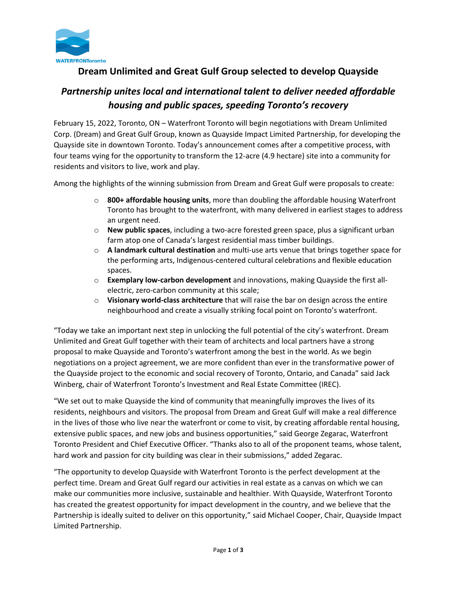

## **Dream Unlimited and Great Gulf Group selected to develop Quayside**

# *Partnership unites local and international talent to deliver needed affordable housing and public spaces, speeding Toronto's recovery*

February 15, 2022, Toronto, ON – Waterfront Toronto will begin negotiations with Dream Unlimited Corp. (Dream) and Great Gulf Group, known as Quayside Impact Limited Partnership, for developing the Quayside site in downtown Toronto. Today's announcement comes after a competitive process, with four teams vying for the opportunity to transform the 12-acre (4.9 hectare) site into a community for residents and visitors to live, work and play.

Among the highlights of the winning submission from Dream and Great Gulf were proposals to create:

- o **800+ affordable housing units**, more than doubling the affordable housing Waterfront Toronto has brought to the waterfront, with many delivered in earliest stages to address an urgent need.
- o **New public spaces**, including a two-acre forested green space, plus a significant urban farm atop one of Canada's largest residential mass timber buildings.
- o **A landmark cultural destination** and multi-use arts venue that brings together space for the performing arts, Indigenous-centered cultural celebrations and flexible education spaces.
- o **Exemplary low-carbon development** and innovations, making Quayside the first allelectric, zero-carbon community at this scale;
- o **Visionary world-class architecture** that will raise the bar on design across the entire neighbourhood and create a visually striking focal point on Toronto's waterfront.

"Today we take an important next step in unlocking the full potential of the city's waterfront. Dream Unlimited and Great Gulf together with their team of architects and local partners have a strong proposal to make Quayside and Toronto's waterfront among the best in the world. As we begin negotiations on a project agreement, we are more confident than ever in the transformative power of the Quayside project to the economic and social recovery of Toronto, Ontario, and Canada" said Jack Winberg, chair of Waterfront Toronto's Investment and Real Estate Committee (IREC).

"We set out to make Quayside the kind of community that meaningfully improves the lives of its residents, neighbours and visitors. The proposal from Dream and Great Gulf will make a real difference in the lives of those who live near the waterfront or come to visit, by creating affordable rental housing, extensive public spaces, and new jobs and business opportunities," said George Zegarac, Waterfront Toronto President and Chief Executive Officer. "Thanks also to all of the proponent teams, whose talent, hard work and passion for city building was clear in their submissions," added Zegarac.

"The opportunity to develop Quayside with Waterfront Toronto is the perfect development at the perfect time. Dream and Great Gulf regard our activities in real estate as a canvas on which we can make our communities more inclusive, sustainable and healthier. With Quayside, Waterfront Toronto has created the greatest opportunity for impact development in the country, and we believe that the Partnership is ideally suited to deliver on this opportunity," said Michael Cooper, Chair, Quayside Impact Limited Partnership.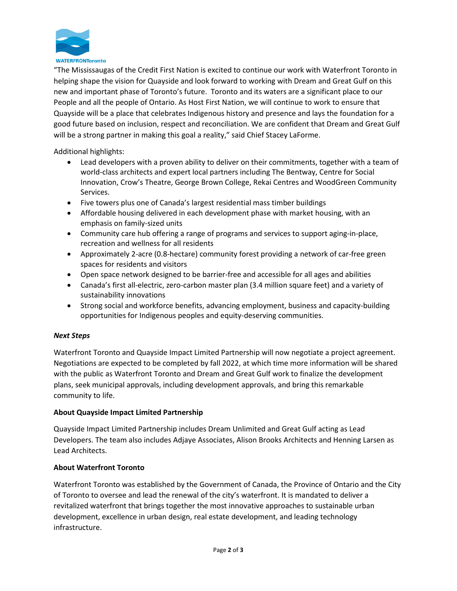

"The Mississaugas of the Credit First Nation is excited to continue our work with Waterfront Toronto in helping shape the vision for Quayside and look forward to working with Dream and Great Gulf on this new and important phase of Toronto's future. Toronto and its waters are a significant place to our People and all the people of Ontario. As Host First Nation, we will continue to work to ensure that Quayside will be a place that celebrates Indigenous history and presence and lays the foundation for a good future based on inclusion, respect and reconciliation. We are confident that Dream and Great Gulf will be a strong partner in making this goal a reality," said Chief Stacey LaForme.

Additional highlights:

- Lead developers with a proven ability to deliver on their commitments, together with a team of world-class architects and expert local partners including The Bentway, Centre for Social Innovation, Crow's Theatre, George Brown College, Rekai Centres and WoodGreen Community Services.
- Five towers plus one of Canada's largest residential mass timber buildings
- Affordable housing delivered in each development phase with market housing, with an emphasis on family-sized units
- Community care hub offering a range of programs and services to support aging-in-place, recreation and wellness for all residents
- Approximately 2-acre (0.8-hectare) community forest providing a network of car-free green spaces for residents and visitors
- Open space network designed to be barrier-free and accessible for all ages and abilities
- Canada's first all-electric, zero-carbon master plan (3.4 million square feet) and a variety of sustainability innovations
- Strong social and workforce benefits, advancing employment, business and capacity-building opportunities for Indigenous peoples and equity-deserving communities.

#### *Next Steps*

Waterfront Toronto and Quayside Impact Limited Partnership will now negotiate a project agreement. Negotiations are expected to be completed by fall 2022, at which time more information will be shared with the public as Waterfront Toronto and Dream and Great Gulf work to finalize the development plans, seek municipal approvals, including development approvals, and bring this remarkable community to life.

#### **About Quayside Impact Limited Partnership**

Quayside Impact Limited Partnership includes Dream Unlimited and Great Gulf acting as Lead Developers. The team also includes Adjaye Associates, Alison Brooks Architects and Henning Larsen as Lead Architects.

#### **About Waterfront Toronto**

Waterfront Toronto was established by the Government of Canada, the Province of Ontario and the City of Toronto to oversee and lead the renewal of the city's waterfront. It is mandated to deliver a revitalized waterfront that brings together the most innovative approaches to sustainable urban development, excellence in urban design, real estate development, and leading technology infrastructure.